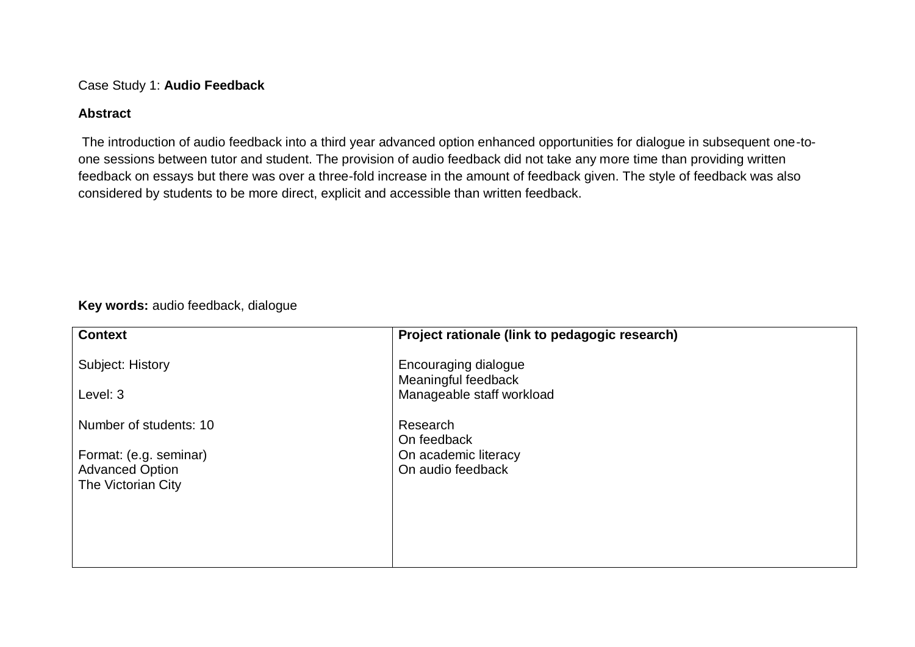Case Study 1: **Audio Feedback**

### **Abstract**

The introduction of audio feedback into a third year advanced option enhanced opportunities for dialogue in subsequent one-toone sessions between tutor and student. The provision of audio feedback did not take any more time than providing written feedback on essays but there was over a three-fold increase in the amount of feedback given. The style of feedback was also considered by students to be more direct, explicit and accessible than written feedback.

**Key words:** audio feedback, dialogue

| <b>Context</b>         | Project rationale (link to pedagogic research)   |
|------------------------|--------------------------------------------------|
| Subject: History       | Encouraging dialogue                             |
| Level: 3               | Meaningful feedback<br>Manageable staff workload |
| Number of students: 10 | Research                                         |
| Format: (e.g. seminar) | On feedback<br>On academic literacy              |
| <b>Advanced Option</b> | On audio feedback                                |
| The Victorian City     |                                                  |
|                        |                                                  |
|                        |                                                  |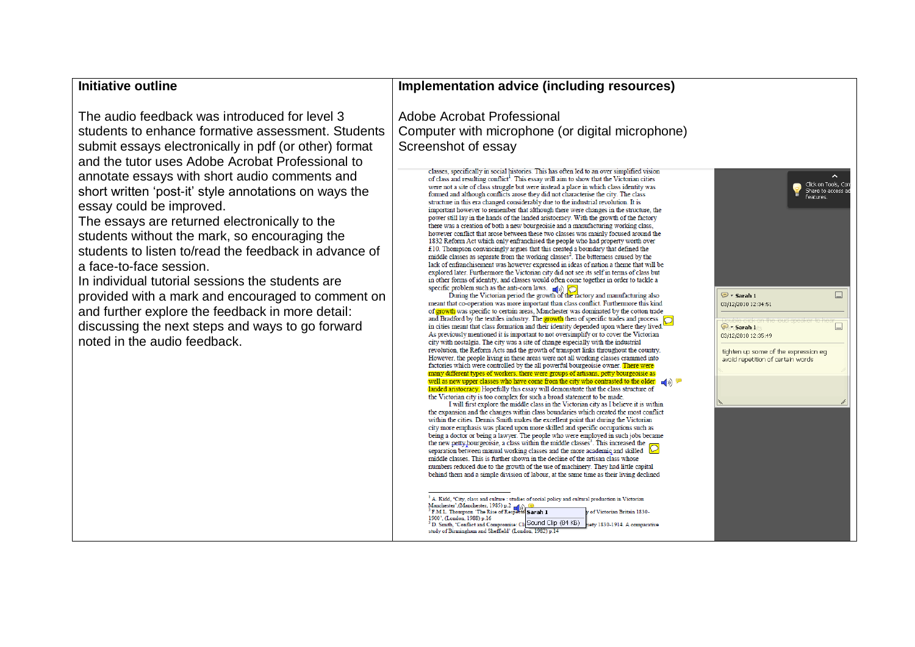## **Initiative outline**

The audio feedback was introduced for level 3 students to enhance formative assessment. Students submit essays electronically in pdf (or other) format and the tutor uses Adobe Acrobat Professional to annotate essays with short audio comments and short written 'post-it' style annotations on ways the essay could be improved.

The essays are returned electronically to the students without the mark, so encouraging the students to listen to/read the feedback in advance of a face-to-face session.

In individual tutorial sessions the students are provided with a mark and encouraged to comment on and further explore the feedback in more detail: discussing the next steps and ways to go forward noted in the audio feedback.

#### **Implementation advice (including resources)**

Adobe Acrobat Professional Computer with microphone (or digital microphone) Screenshot of essay

> classes, specifically in social histories. This has often led to an over simplified vision of class and resulting conflict<sup>1</sup>. This essay will aim to show that the Victorian cities were not a site of class struggle but were instead a place in which class identity was formed and although conflicts arose they did not characterise the city. The class structure in this era changed considerably due to the industrial revolution. It is important however to remember that although there were changes in the structure, the power still lay in the hands of the landed aristocracy. With the growth of the factory there was a creation of both a new bourgeoisie and a manufacturing working class, however conflict that arose between these two classes was mainly focused around the 1832 Reform Act which only enfranchised the people who had property worth over £10. Thompson convincingly argues that this created a boundary that defined the middle classes as separate from the working classes<sup>2</sup>. The bitterness caused by the lack of enfranchisement was however expressed in ideas of nation a theme that will be explored later. Furthermore the Victorian city did not see its self in terms of class but in other forms of identity, and classes would often come together in order to tackle a

specific problem such as the anti-corn laws.  $\left( \bigotimes \right)$   $\left( \bigotimes$ <br>During the Victorian period the growth of the ractory and manufacturing also meant that co-operation was more important than class conflict. Furthermore this kind of growth was specific to certain areas. Manchester was dominated by the cotton trade and Bradford by the textiles industry. The **growth** then of specific trades and process  $\boxed{\bigcirc}$ in cities meant that class formation and their identity depended upon where they lived. As previously mentioned it is important to not oversimplify or to cover the Victorian city with nostalgia. The city was a site of change especially with the industrial revolution, the Reform Acts and the growth of transport links throughout the country. However, the people living in these areas were not all working classes crammed into factories which were controlled by the all powerful bourgeoisie owner. There were many different types of workers, there were groups of artisans, petty bourgeoisie as well as new upper classes who have come from the city who contrasted to the older  $\pi$  (a)  $\theta$ landed aristocracy. Hopefully this essay will demonstrate that the class structure of the Victorian city is too complex for such a broad statement to be made.

I will first explore the middle class in the Victorian city as I believe it is within the expansion and the changes within class boundaries which created the most conflict within the cities. Dennis Smith makes the excellent point that during the Victorian city more emphasis was placed upon more skilled and specific occupations such as being a doctor or being a lawyer. The people who were employed in such jobs became the new petty bourgeoisie, a class within the middle classes<sup>3</sup>. This increased the separation between manual working classes and the more academic and skilled  $\Box$ middle classes. This is further shown in the decline of the artisan class whose numbers reduced due to the growth of the use of machinery. They had little capital behind them and a simple division of labour, at the same time as their living declined

|                                                                           | 2 | Click on Tools, Com<br>Share to access ad<br>features. |        |  |  |
|---------------------------------------------------------------------------|---|--------------------------------------------------------|--------|--|--|
|                                                                           |   |                                                        |        |  |  |
|                                                                           |   |                                                        |        |  |  |
| ● + Sarah 1<br>03/12/2010 12:34:51                                        |   |                                                        | $\Box$ |  |  |
| <del>on the loud speake</del> r :<br>Fr Sarah 1<br>03/12/2010 12:35:49    |   |                                                        | $\Box$ |  |  |
| tighten up some of the expression eg<br>avoid repetition of certain words |   |                                                        |        |  |  |
| h.                                                                        |   |                                                        | h      |  |  |
|                                                                           |   |                                                        |        |  |  |
|                                                                           |   |                                                        |        |  |  |
|                                                                           |   |                                                        |        |  |  |
|                                                                           |   |                                                        |        |  |  |
|                                                                           |   |                                                        |        |  |  |

<sup>&</sup>lt;sup>1</sup> A. Kidd, 'City, class and culture : studies of social policy and cultural production in Victorian Manchester', (Manchester, 1985) p.2<br> $\frac{1}{\sqrt{2}}$  F.M.L. Thompson 'The Rise of Respects Sarah 1 v of Victorian Britain 1830 1900', (London, 1988) p.16 <sup>3</sup> D. Smith, 'Conflict and Compromise: Cl<sub>4</sub> SOUND Clip (84 KB) siety 1830-1914. A comparative study of Birmingham and Sheffield' (London, 1982) p.14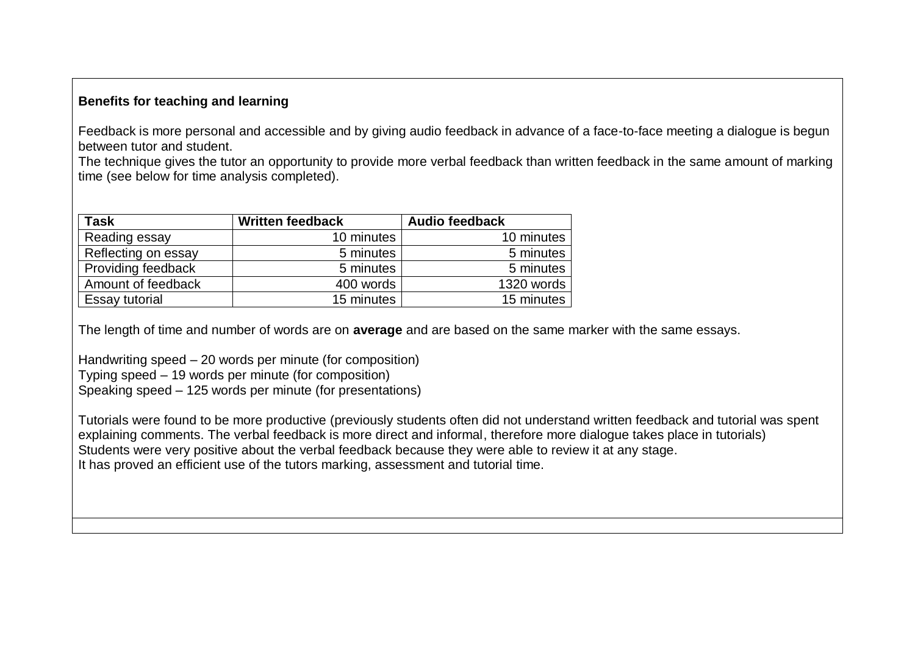## **Benefits for teaching and learning**

Feedback is more personal and accessible and by giving audio feedback in advance of a face-to-face meeting a dialogue is begun between tutor and student.

The technique gives the tutor an opportunity to provide more verbal feedback than written feedback in the same amount of marking time (see below for time analysis completed).

| <b>Task</b>         | <b>Written feedback</b> | <b>Audio feedback</b> |  |
|---------------------|-------------------------|-----------------------|--|
| Reading essay       | 10 minutes              | 10 minutes            |  |
| Reflecting on essay | 5 minutes               | 5 minutes             |  |
| Providing feedback  | 5 minutes               | 5 minutes             |  |
| Amount of feedback  | 400 words               | 1320 words            |  |
| Essay tutorial      | 15 minutes              | 15 minutes            |  |

The length of time and number of words are on **average** and are based on the same marker with the same essays.

Handwriting speed – 20 words per minute (for composition) Typing speed – 19 words per minute (for composition) Speaking speed – 125 words per minute (for presentations)

Tutorials were found to be more productive (previously students often did not understand written feedback and tutorial was spent explaining comments. The verbal feedback is more direct and informal, therefore more dialogue takes place in tutorials) Students were very positive about the verbal feedback because they were able to review it at any stage. It has proved an efficient use of the tutors marking, assessment and tutorial time.